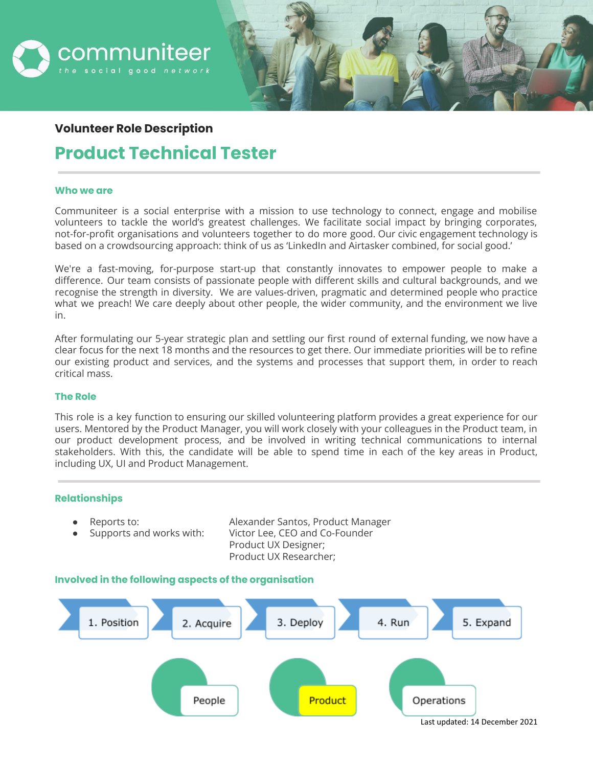

# **Volunteer Role Description**

# **Product Technical Tester**

#### **Who we are**

Communiteer is a social enterprise with a mission to use technology to connect, engage and mobilise volunteers to tackle the world's greatest challenges. We facilitate social impact by bringing corporates, not-for-profit organisations and volunteers together to do more good. Our civic engagement technology is based on a crowdsourcing approach: think of us as 'LinkedIn and Airtasker combined, for social good.'

We're a fast-moving, for-purpose start-up that constantly innovates to empower people to make a difference. Our team consists of passionate people with different skills and cultural backgrounds, and we recognise the strength in diversity. We are values-driven, pragmatic and determined people who practice what we preach! We care deeply about other people, the wider community, and the environment we live in.

After formulating our 5-year strategic plan and settling our first round of external funding, we now have a clear focus for the next 18 months and the resources to get there. Our immediate priorities will be to refine our existing product and services, and the systems and processes that support them, in order to reach critical mass.

## **The Role**

This role is a key function to ensuring our skilled volunteering platform provides a great experience for our users. Mentored by the Product Manager, you will work closely with your colleagues in the Product team, in our product development process, and be involved in writing technical communications to internal stakeholders. With this, the candidate will be able to spend time in each of the key areas in Product, including UX, UI and Product Management.

## **Relationships**

- 
- 

Reports to: Alexander Santos, Product Manager Supports and works with: Victor Lee, CEO and Co-Founder Product UX Designer; Product UX Researcher;

## **Involved in the following aspects of the organisation**